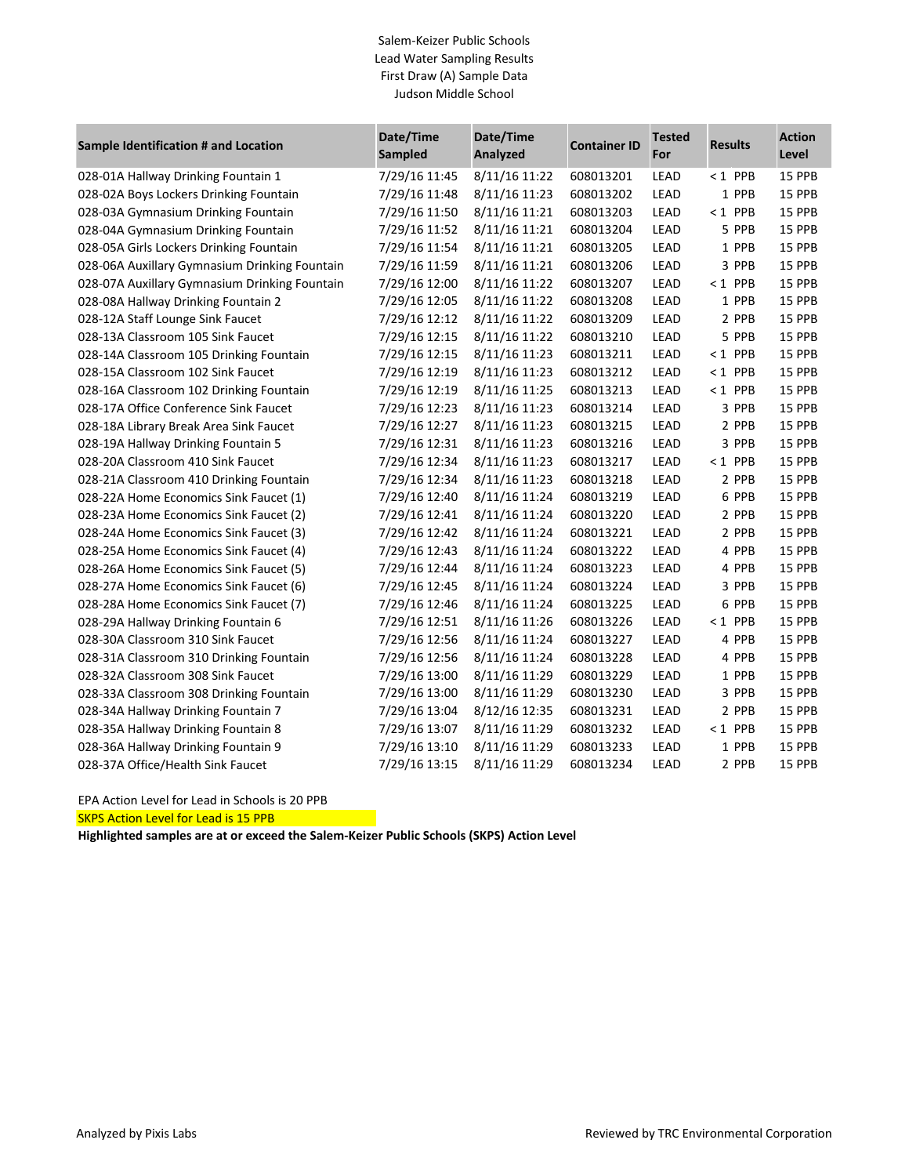### Salem-Keizer Public Schools Lead Water Sampling Results First Draw (A) Sample Data Judson Middle School

| Sample Identification # and Location          | Date/Time<br>Sampled | Date/Time<br>Analyzed | <b>Container ID</b> | <b>Tested</b><br>For | <b>Results</b> | <b>Action</b><br>Level |
|-----------------------------------------------|----------------------|-----------------------|---------------------|----------------------|----------------|------------------------|
| 028-01A Hallway Drinking Fountain 1           | 7/29/16 11:45        | 8/11/16 11:22         | 608013201           | LEAD                 | $< 1$ PPB      | 15 PPB                 |
| 028-02A Boys Lockers Drinking Fountain        | 7/29/16 11:48        | 8/11/16 11:23         | 608013202           | LEAD                 | 1 PPB          | 15 PPB                 |
| 028-03A Gymnasium Drinking Fountain           | 7/29/16 11:50        | 8/11/16 11:21         | 608013203           | LEAD                 | $< 1$ PPB      | 15 PPB                 |
| 028-04A Gymnasium Drinking Fountain           | 7/29/16 11:52        | 8/11/16 11:21         | 608013204           | LEAD                 | 5 PPB          | 15 PPB                 |
| 028-05A Girls Lockers Drinking Fountain       | 7/29/16 11:54        | 8/11/16 11:21         | 608013205           | LEAD                 | 1 PPB          | 15 PPB                 |
| 028-06A Auxillary Gymnasium Drinking Fountain | 7/29/16 11:59        | 8/11/16 11:21         | 608013206           | LEAD                 | 3 PPB          | 15 PPB                 |
| 028-07A Auxillary Gymnasium Drinking Fountain | 7/29/16 12:00        | 8/11/16 11:22         | 608013207           | LEAD                 | $< 1$ PPB      | 15 PPB                 |
| 028-08A Hallway Drinking Fountain 2           | 7/29/16 12:05        | 8/11/16 11:22         | 608013208           | LEAD                 | 1 PPB          | 15 PPB                 |
| 028-12A Staff Lounge Sink Faucet              | 7/29/16 12:12        | 8/11/16 11:22         | 608013209           | LEAD                 | 2 PPB          | 15 PPB                 |
| 028-13A Classroom 105 Sink Faucet             | 7/29/16 12:15        | 8/11/16 11:22         | 608013210           | LEAD                 | 5 PPB          | 15 PPB                 |
| 028-14A Classroom 105 Drinking Fountain       | 7/29/16 12:15        | 8/11/16 11:23         | 608013211           | LEAD                 | $< 1$ PPB      | 15 PPB                 |
| 028-15A Classroom 102 Sink Faucet             | 7/29/16 12:19        | 8/11/16 11:23         | 608013212           | LEAD                 | $< 1$ PPB      | 15 PPB                 |
| 028-16A Classroom 102 Drinking Fountain       | 7/29/16 12:19        | 8/11/16 11:25         | 608013213           | LEAD                 | $< 1$ PPB      | 15 PPB                 |
| 028-17A Office Conference Sink Faucet         | 7/29/16 12:23        | 8/11/16 11:23         | 608013214           | LEAD                 | 3 PPB          | 15 PPB                 |
| 028-18A Library Break Area Sink Faucet        | 7/29/16 12:27        | 8/11/16 11:23         | 608013215           | LEAD                 | 2 PPB          | 15 PPB                 |
| 028-19A Hallway Drinking Fountain 5           | 7/29/16 12:31        | 8/11/16 11:23         | 608013216           | LEAD                 | 3 PPB          | 15 PPB                 |
| 028-20A Classroom 410 Sink Faucet             | 7/29/16 12:34        | 8/11/16 11:23         | 608013217           | LEAD                 | $< 1$ PPB      | 15 PPB                 |
| 028-21A Classroom 410 Drinking Fountain       | 7/29/16 12:34        | 8/11/16 11:23         | 608013218           | LEAD                 | 2 PPB          | 15 PPB                 |
| 028-22A Home Economics Sink Faucet (1)        | 7/29/16 12:40        | 8/11/16 11:24         | 608013219           | LEAD                 | 6 PPB          | 15 PPB                 |
| 028-23A Home Economics Sink Faucet (2)        | 7/29/16 12:41        | 8/11/16 11:24         | 608013220           | LEAD                 | 2 PPB          | 15 PPB                 |
| 028-24A Home Economics Sink Faucet (3)        | 7/29/16 12:42        | 8/11/16 11:24         | 608013221           | LEAD                 | 2 PPB          | 15 PPB                 |
| 028-25A Home Economics Sink Faucet (4)        | 7/29/16 12:43        | 8/11/16 11:24         | 608013222           | LEAD                 | 4 PPB          | 15 PPB                 |
| 028-26A Home Economics Sink Faucet (5)        | 7/29/16 12:44        | 8/11/16 11:24         | 608013223           | LEAD                 | 4 PPB          | 15 PPB                 |
| 028-27A Home Economics Sink Faucet (6)        | 7/29/16 12:45        | 8/11/16 11:24         | 608013224           | LEAD                 | 3 PPB          | 15 PPB                 |
| 028-28A Home Economics Sink Faucet (7)        | 7/29/16 12:46        | 8/11/16 11:24         | 608013225           | LEAD                 | 6 PPB          | 15 PPB                 |
| 028-29A Hallway Drinking Fountain 6           | 7/29/16 12:51        | 8/11/16 11:26         | 608013226           | LEAD                 | $< 1$ PPB      | 15 PPB                 |
| 028-30A Classroom 310 Sink Faucet             | 7/29/16 12:56        | 8/11/16 11:24         | 608013227           | LEAD                 | 4 PPB          | 15 PPB                 |
| 028-31A Classroom 310 Drinking Fountain       | 7/29/16 12:56        | 8/11/16 11:24         | 608013228           | LEAD                 | 4 PPB          | 15 PPB                 |
| 028-32A Classroom 308 Sink Faucet             | 7/29/16 13:00        | 8/11/16 11:29         | 608013229           | LEAD                 | 1 PPB          | 15 PPB                 |
| 028-33A Classroom 308 Drinking Fountain       | 7/29/16 13:00        | 8/11/16 11:29         | 608013230           | LEAD                 | 3 PPB          | 15 PPB                 |
| 028-34A Hallway Drinking Fountain 7           | 7/29/16 13:04        | 8/12/16 12:35         | 608013231           | LEAD                 | 2 PPB          | 15 PPB                 |
| 028-35A Hallway Drinking Fountain 8           | 7/29/16 13:07        | 8/11/16 11:29         | 608013232           | LEAD                 | $< 1$ PPB      | 15 PPB                 |
| 028-36A Hallway Drinking Fountain 9           | 7/29/16 13:10        | 8/11/16 11:29         | 608013233           | LEAD                 | 1 PPB          | 15 PPB                 |
| 028-37A Office/Health Sink Faucet             | 7/29/16 13:15        | 8/11/16 11:29         | 608013234           | LEAD                 | 2 PPB          | 15 PPB                 |

EPA Action Level for Lead in Schools is 20 PPB

SKPS Action Level for Lead is 15 PPB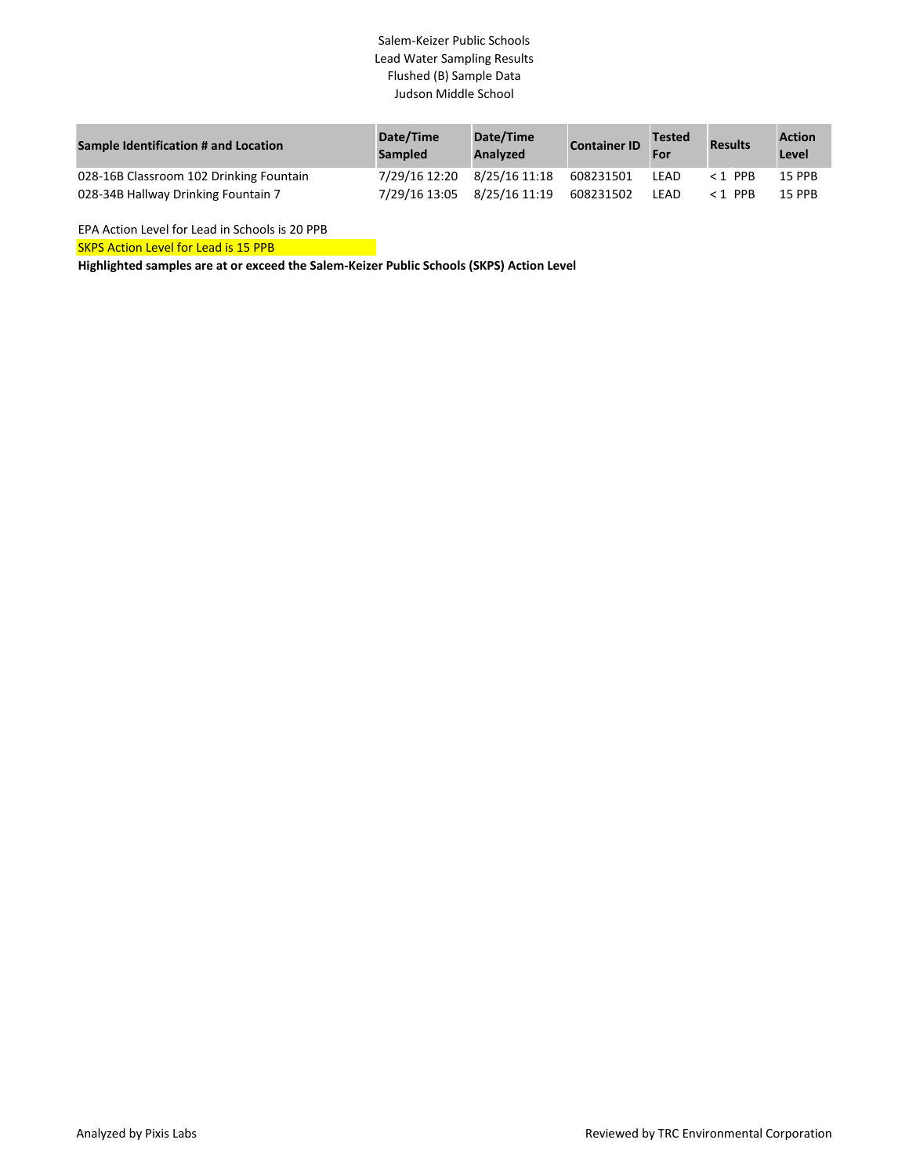## Salem-Keizer Public Schools Lead Water Sampling Results Flushed (B) Sample Data Judson Middle School

| Sample Identification # and Location    | Date/Time<br><b>Sampled</b> | Date/Time<br>Analyzed | <b>Container ID</b> | <b>Tested</b><br>For | <b>Results</b> | <b>Action</b><br>Level |
|-----------------------------------------|-----------------------------|-----------------------|---------------------|----------------------|----------------|------------------------|
| 028-16B Classroom 102 Drinking Fountain | 7/29/16 12:20 8/25/16 11:18 |                       | 608231501           | LEAD                 | $< 1$ PPB      | <b>15 PPB</b>          |
| 028-34B Hallway Drinking Fountain 7     | 7/29/16 13:05               | 8/25/16 11:19         | 608231502           | LEAD                 | $<$ 1 PPR      | <b>15 PPR</b>          |

EPA Action Level for Lead in Schools is 20 PPB

SKPS Action Level for Lead is 15 PPB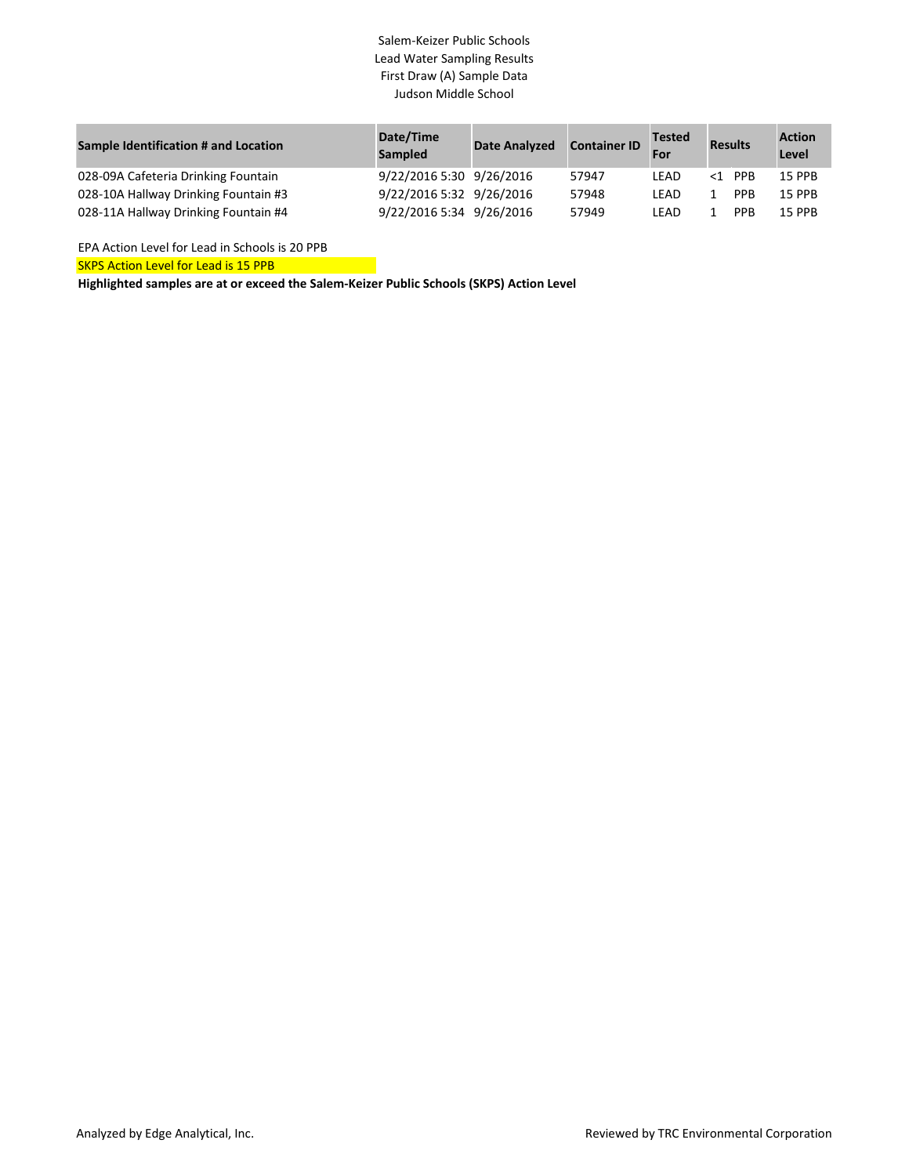## Salem-Keizer Public Schools Lead Water Sampling Results First Draw (A) Sample Data Judson Middle School

| Sample Identification # and Location | Date/Time<br>Sampled     | <b>Date Analyzed</b> | <b>Container ID</b> | <b>Tested</b><br>For | <b>Results</b> |            | <b>Action</b><br>Level |
|--------------------------------------|--------------------------|----------------------|---------------------|----------------------|----------------|------------|------------------------|
| 028-09A Cafeteria Drinking Fountain  | 9/22/2016 5:30 9/26/2016 |                      | 57947               | LEAD                 | $<1$ PPR       |            | <b>15 PPB</b>          |
| 028-10A Hallway Drinking Fountain #3 | 9/22/2016 5:32 9/26/2016 |                      | 57948               | LEAD                 |                | <b>PPB</b> | <b>15 PPB</b>          |
| 028-11A Hallway Drinking Fountain #4 | 9/22/2016 5:34 9/26/2016 |                      | 57949               | LEAD                 |                | <b>PPB</b> | <b>15 PPB</b>          |

EPA Action Level for Lead in Schools is 20 PPB

SKPS Action Level for Lead is 15 PPB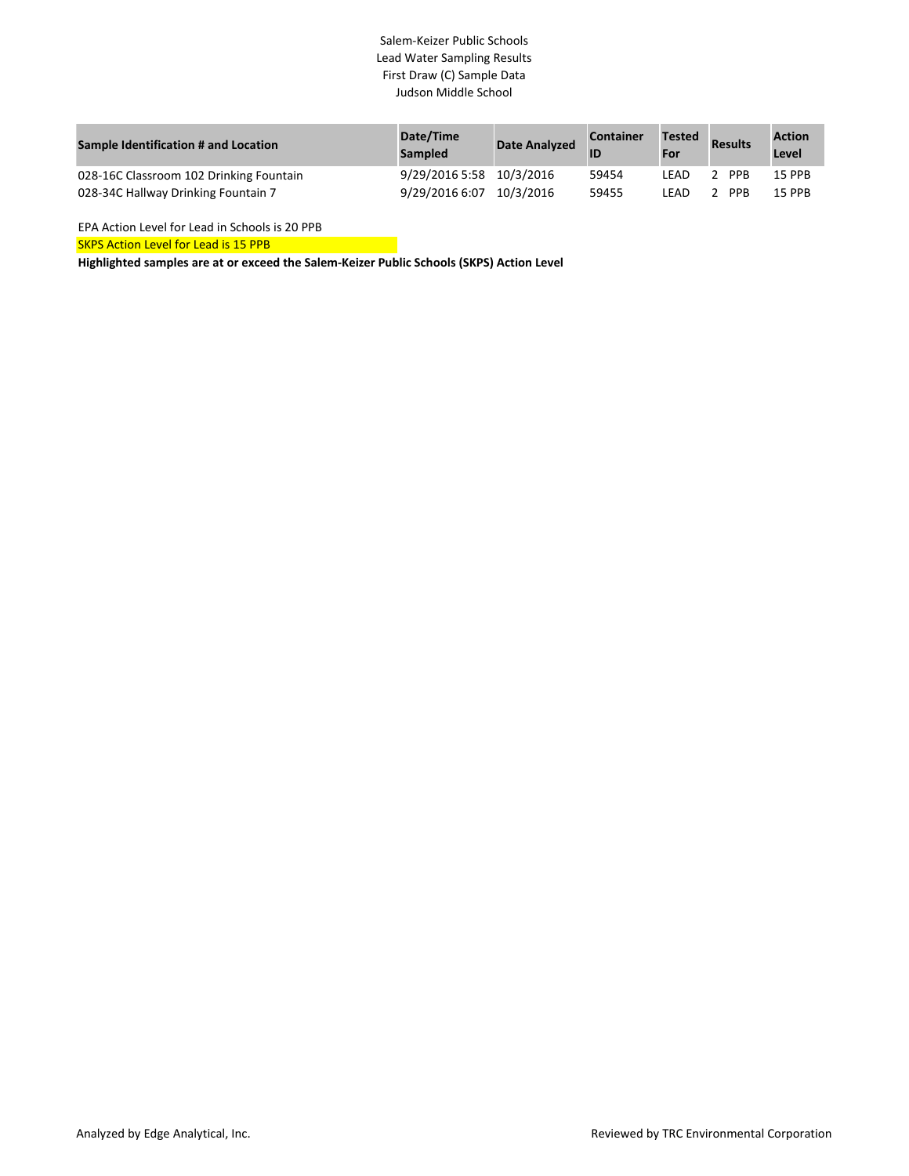## Salem-Keizer Public Schools Lead Water Sampling Results First Draw (C) Sample Data Judson Middle School

| Sample Identification # and Location    | Date/Time<br><b>Sampled</b> | <b>Date Analyzed</b> | <b>Container</b> | <b>Tested</b><br>For | <b>Results</b> | <b>Action</b><br>Level |
|-----------------------------------------|-----------------------------|----------------------|------------------|----------------------|----------------|------------------------|
| 028-16C Classroom 102 Drinking Fountain | 9/29/2016 5:58 10/3/2016    |                      | 59454            | LEAD                 | 2 PPB          | 15 PPB                 |
| 028-34C Hallway Drinking Fountain 7     | 9/29/2016 6:07              | 10/3/2016            | 59455            | LEAD                 | 2 PPR          | <b>15 PPB</b>          |

EPA Action Level for Lead in Schools is 20 PPB

**SKPS Action Level for Lead is 15 PPB**